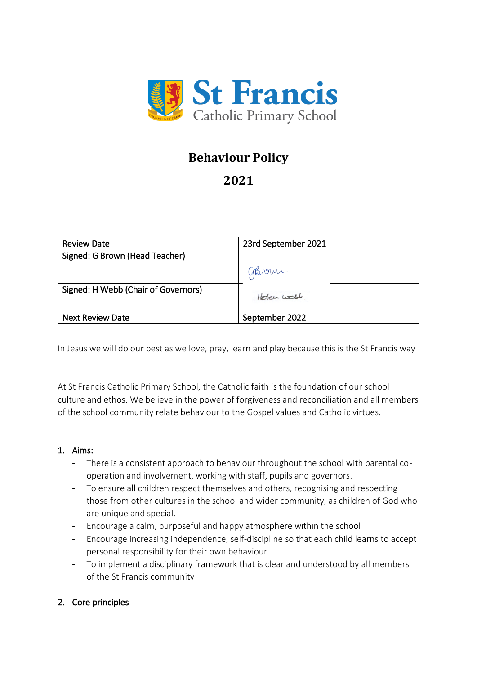

# **Behaviour Policy**

# **2021**

| <b>Review Date</b>                  | 23rd September 2021 |
|-------------------------------------|---------------------|
| Signed: G Brown (Head Teacher)      |                     |
|                                     | GBrown.             |
| Signed: H Webb (Chair of Governors) | Holan Well          |
| <b>Next Review Date</b>             | September 2022      |

In Jesus we will do our best as we love, pray, learn and play because this is the St Francis way

At St Francis Catholic Primary School, the Catholic faith is the foundation of our school culture and ethos. We believe in the power of forgiveness and reconciliation and all members of the school community relate behaviour to the Gospel values and Catholic virtues.

#### 1. Aims:

- There is a consistent approach to behaviour throughout the school with parental cooperation and involvement, working with staff, pupils and governors.
- To ensure all children respect themselves and others, recognising and respecting those from other cultures in the school and wider community, as children of God who are unique and special.
- Encourage a calm, purposeful and happy atmosphere within the school
- Encourage increasing independence, self-discipline so that each child learns to accept personal responsibility for their own behaviour
- To implement a disciplinary framework that is clear and understood by all members of the St Francis community

# 2. Core principles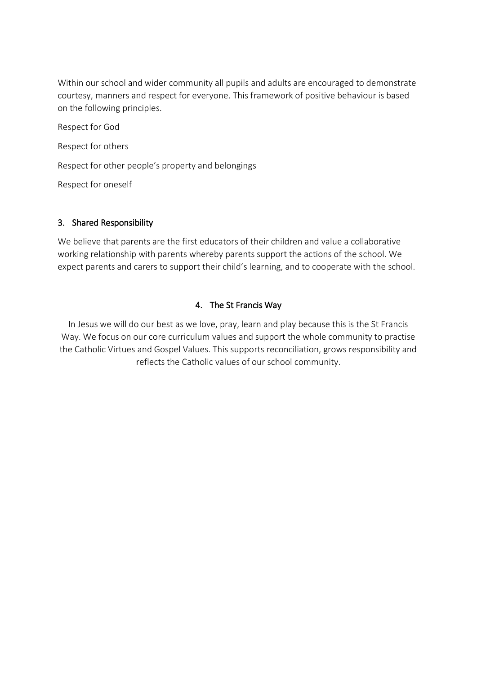Within our school and wider community all pupils and adults are encouraged to demonstrate courtesy, manners and respect for everyone. This framework of positive behaviour is based on the following principles.

Respect for God

Respect for others

Respect for other people's property and belongings

Respect for oneself

#### 3. Shared Responsibility

We believe that parents are the first educators of their children and value a collaborative working relationship with parents whereby parents support the actions of the school. We expect parents and carers to support their child's learning, and to cooperate with the school.

# 4. The St Francis Way

In Jesus we will do our best as we love, pray, learn and play because this is the St Francis Way. We focus on our core curriculum values and support the whole community to practise the Catholic Virtues and Gospel Values. This supports reconciliation, grows responsibility and reflects the Catholic values of our school community.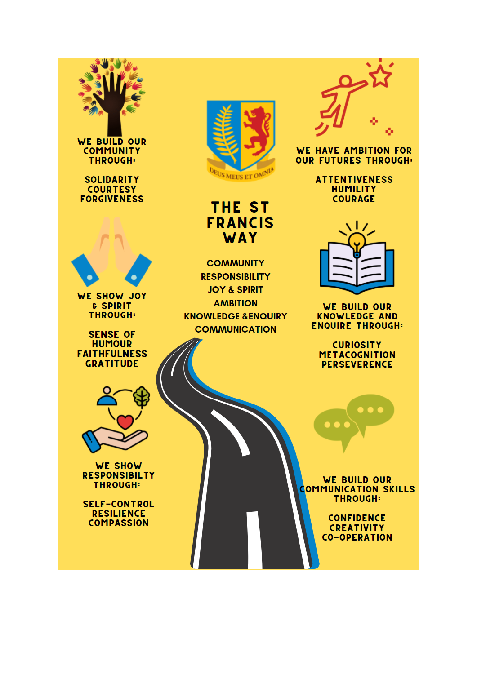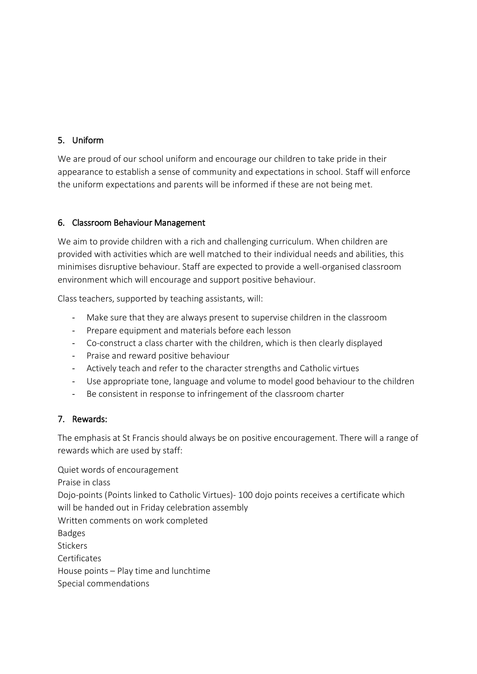# 5. Uniform

We are proud of our school uniform and encourage our children to take pride in their appearance to establish a sense of community and expectations in school. Staff will enforce the uniform expectations and parents will be informed if these are not being met.

# 6. Classroom Behaviour Management

We aim to provide children with a rich and challenging curriculum. When children are provided with activities which are well matched to their individual needs and abilities, this minimises disruptive behaviour. Staff are expected to provide a well-organised classroom environment which will encourage and support positive behaviour.

Class teachers, supported by teaching assistants, will:

- Make sure that they are always present to supervise children in the classroom
- Prepare equipment and materials before each lesson
- Co-construct a class charter with the children, which is then clearly displayed
- Praise and reward positive behaviour
- Actively teach and refer to the character strengths and Catholic virtues
- Use appropriate tone, language and volume to model good behaviour to the children
- Be consistent in response to infringement of the classroom charter

# 7. Rewards:

The emphasis at St Francis should always be on positive encouragement. There will a range of rewards which are used by staff:

Quiet words of encouragement Praise in class Dojo-points (Points linked to Catholic Virtues)- 100 dojo points receives a certificate which will be handed out in Friday celebration assembly Written comments on work completed Badges **Stickers Certificates** House points – Play time and lunchtime Special commendations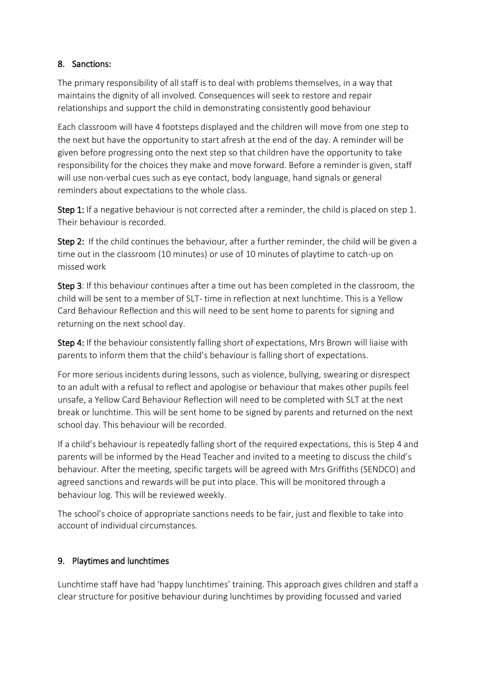# 8. Sanctions:

The primary responsibility of all staff is to deal with problems themselves, in a way that maintains the dignity of all involved. Consequences will seek to restore and repair relationships and support the child in demonstrating consistently good behaviour

Each classroom will have 4 footsteps displayed and the children will move from one step to the next but have the opportunity to start afresh at the end of the day. A reminder will be given before progressing onto the next step so that children have the opportunity to take responsibility for the choices they make and move forward. Before a reminder is given, staff will use non-verbal cues such as eye contact, body language, hand signals or general reminders about expectations to the whole class.

Step 1: If a negative behaviour is not corrected after a reminder, the child is placed on step 1. Their behaviour is recorded.

Step 2: If the child continues the behaviour, after a further reminder, the child will be given a time out in the classroom (10 minutes) or use of 10 minutes of playtime to catch-up on missed work

Step 3: If this behaviour continues after a time out has been completed in the classroom, the child will be sent to a member of SLT- time in reflection at next lunchtime. This is a Yellow Card Behaviour Reflection and this will need to be sent home to parents for signing and returning on the next school day.

Step 4: If the behaviour consistently falling short of expectations, Mrs Brown will liaise with parents to inform them that the child's behaviour is falling short of expectations.

For more serious incidents during lessons, such as violence, bullying, swearing or disrespect to an adult with a refusal to reflect and apologise or behaviour that makes other pupils feel unsafe, a Yellow Card Behaviour Reflection will need to be completed with SLT at the next break or lunchtime. This will be sent home to be signed by parents and returned on the next school day. This behaviour will be recorded.

If a child's behaviour is repeatedly falling short of the required expectations, this is Step 4 and parents will be informed by the Head Teacher and invited to a meeting to discuss the child's behaviour. After the meeting, specific targets will be agreed with Mrs Griffiths (SENDCO) and agreed sanctions and rewards will be put into place. This will be monitored through a behaviour log. This will be reviewed weekly.

The school's choice of appropriate sanctions needs to be fair, just and flexible to take into account of individual circumstances.

# 9. Playtimes and lunchtimes

Lunchtime staff have had 'happy lunchtimes' training. This approach gives children and staff a clear structure for positive behaviour during lunchtimes by providing focussed and varied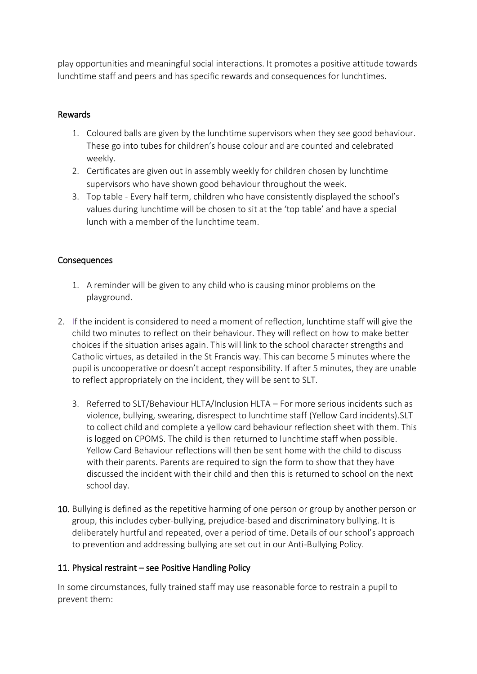play opportunities and meaningful social interactions. It promotes a positive attitude towards lunchtime staff and peers and has specific rewards and consequences for lunchtimes.

#### Rewards

- 1. Coloured balls are given by the lunchtime supervisors when they see good behaviour. These go into tubes for children's house colour and are counted and celebrated weekly.
- 2. Certificates are given out in assembly weekly for children chosen by lunchtime supervisors who have shown good behaviour throughout the week.
- 3. Top table Every half term, children who have consistently displayed the school's values during lunchtime will be chosen to sit at the 'top table' and have a special lunch with a member of the lunchtime team.

# Consequences

- 1. A reminder will be given to any child who is causing minor problems on the playground.
- 2. If the incident is considered to need a moment of reflection, lunchtime staff will give the child two minutes to reflect on their behaviour. They will reflect on how to make better choices if the situation arises again. This will link to the school character strengths and Catholic virtues, as detailed in the St Francis way. This can become 5 minutes where the pupil is uncooperative or doesn't accept responsibility. If after 5 minutes, they are unable to reflect appropriately on the incident, they will be sent to SLT.
	- 3. Referred to SLT/Behaviour HLTA/Inclusion HLTA For more serious incidents such as violence, bullying, swearing, disrespect to lunchtime staff (Yellow Card incidents).SLT to collect child and complete a yellow card behaviour reflection sheet with them. This is logged on CPOMS. The child is then returned to lunchtime staff when possible. Yellow Card Behaviour reflections will then be sent home with the child to discuss with their parents. Parents are required to sign the form to show that they have discussed the incident with their child and then this is returned to school on the next school day.
- 10. Bullying is defined as the repetitive harming of one person or group by another person or group, this includes cyber-bullying, prejudice-based and discriminatory bullying. It is deliberately hurtful and repeated, over a period of time. Details of our school's approach to prevention and addressing bullying are set out in our Anti-Bullying Policy.

#### 11. Physical restraint – see Positive Handling Policy

In some circumstances, fully trained staff may use reasonable force to restrain a pupil to prevent them: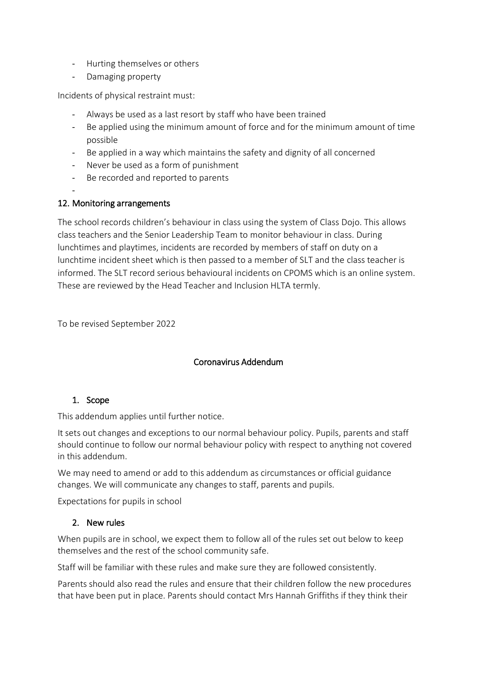- Hurting themselves or others
- Damaging property

Incidents of physical restraint must:

- Always be used as a last resort by staff who have been trained
- Be applied using the minimum amount of force and for the minimum amount of time possible
- Be applied in a way which maintains the safety and dignity of all concerned
- Never be used as a form of punishment
- Be recorded and reported to parents

#### - 12. Monitoring arrangements

The school records children's behaviour in class using the system of Class Dojo. This allows class teachers and the Senior Leadership Team to monitor behaviour in class. During lunchtimes and playtimes, incidents are recorded by members of staff on duty on a lunchtime incident sheet which is then passed to a member of SLT and the class teacher is informed. The SLT record serious behavioural incidents on CPOMS which is an online system. These are reviewed by the Head Teacher and Inclusion HLTA termly.

To be revised September 2022

# Coronavirus Addendum

# 1. Scope

This addendum applies until further notice.

It sets out changes and exceptions to our normal behaviour policy. Pupils, parents and staff should continue to follow our normal behaviour policy with respect to anything not covered in this addendum.

We may need to amend or add to this addendum as circumstances or official guidance changes. We will communicate any changes to staff, parents and pupils.

Expectations for pupils in school

#### 2. New rules

When pupils are in school, we expect them to follow all of the rules set out below to keep themselves and the rest of the school community safe.

Staff will be familiar with these rules and make sure they are followed consistently.

Parents should also read the rules and ensure that their children follow the new procedures that have been put in place. Parents should contact Mrs Hannah Griffiths if they think their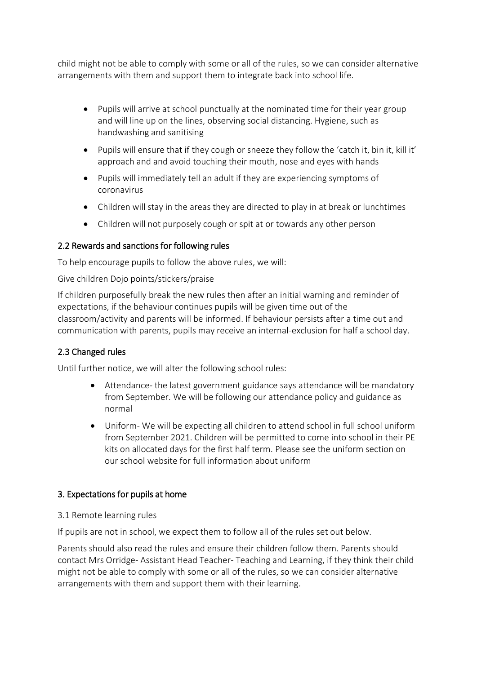child might not be able to comply with some or all of the rules, so we can consider alternative arrangements with them and support them to integrate back into school life.

- Pupils will arrive at school punctually at the nominated time for their year group and will line up on the lines, observing social distancing. Hygiene, such as handwashing and sanitising
- Pupils will ensure that if they cough or sneeze they follow the 'catch it, bin it, kill it' approach and and avoid touching their mouth, nose and eyes with hands
- Pupils will immediately tell an adult if they are experiencing symptoms of coronavirus
- Children will stay in the areas they are directed to play in at break or lunchtimes
- Children will not purposely cough or spit at or towards any other person

# 2.2 Rewards and sanctions for following rules

To help encourage pupils to follow the above rules, we will:

Give children Dojo points/stickers/praise

If children purposefully break the new rules then after an initial warning and reminder of expectations, if the behaviour continues pupils will be given time out of the classroom/activity and parents will be informed. If behaviour persists after a time out and communication with parents, pupils may receive an internal-exclusion for half a school day.

# 2.3 Changed rules

Until further notice, we will alter the following school rules:

- Attendance- the [latest government guidance](https://www.gov.uk/government/publications/actions-for-schools-during-the-coronavirus-outbreak/guidance-for-full-opening-schools) says attendance will be mandatory from September. We will be following our attendance policy and guidance as normal
- Uniform- We will be expecting all children to attend school in full school uniform from September 2021. Children will be permitted to come into school in their PE kits on allocated days for the first half term. Please see the uniform section on our school website for full information about uniform

#### 3. Expectations for pupils at home

#### 3.1 Remote learning rules

If pupils are not in school, we expect them to follow all of the rules set out below.

Parents should also read the rules and ensure their children follow them. Parents should contact Mrs Orridge- Assistant Head Teacher- Teaching and Learning, if they think their child might not be able to comply with some or all of the rules, so we can consider alternative arrangements with them and support them with their learning.